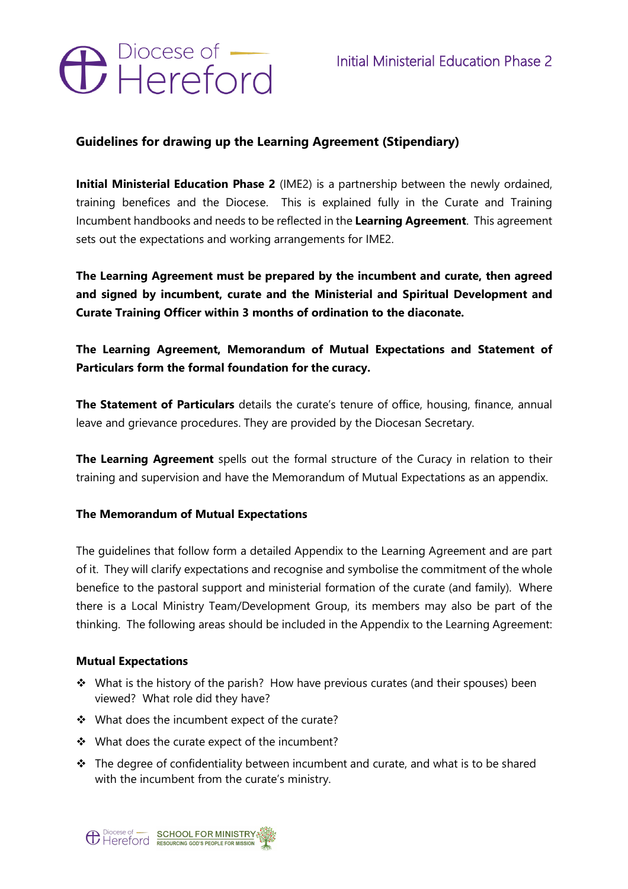# **C** Piocese of

# **Guidelines for drawing up the Learning Agreement (Stipendiary)**

**Initial Ministerial Education Phase 2** (IME2) is a partnership between the newly ordained, training benefices and the Diocese. This is explained fully in the Curate and Training Incumbent handbooks and needs to be reflected in the **Learning Agreement**. This agreement sets out the expectations and working arrangements for IME2.

**The Learning Agreement must be prepared by the incumbent and curate, then agreed and signed by incumbent, curate and the Ministerial and Spiritual Development and Curate Training Officer within 3 months of ordination to the diaconate.**

# **The Learning Agreement, Memorandum of Mutual Expectations and Statement of Particulars form the formal foundation for the curacy.**

**The Statement of Particulars** details the curate's tenure of office, housing, finance, annual leave and grievance procedures. They are provided by the Diocesan Secretary.

**The Learning Agreement** spells out the formal structure of the Curacy in relation to their training and supervision and have the Memorandum of Mutual Expectations as an appendix.

## **The Memorandum of Mutual Expectations**

The guidelines that follow form a detailed Appendix to the Learning Agreement and are part of it. They will clarify expectations and recognise and symbolise the commitment of the whole benefice to the pastoral support and ministerial formation of the curate (and family). Where there is a Local Ministry Team/Development Group, its members may also be part of the thinking. The following areas should be included in the Appendix to the Learning Agreement:

## **Mutual Expectations**

- $\cdot$  What is the history of the parish? How have previous curates (and their spouses) been viewed? What role did they have?
- $\cdot$  What does the incumbent expect of the curate?
- \* What does the curate expect of the incumbent?
- $\cdot \cdot$  The degree of confidentiality between incumbent and curate, and what is to be shared with the incumbent from the curate's ministry.

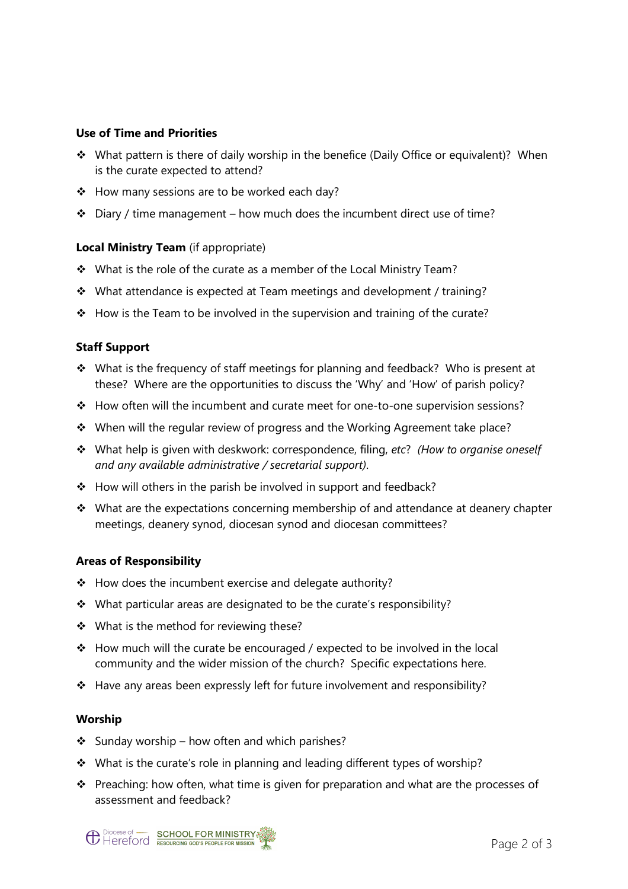#### **Use of Time and Priorities**

- \* What pattern is there of daily worship in the benefice (Daily Office or equivalent)? When is the curate expected to attend?
- ❖ How many sessions are to be worked each day?
- $\cdot \cdot$  Diary / time management how much does the incumbent direct use of time?

#### **Local Ministry Team** (if appropriate)

- $\cdot$  What is the role of the curate as a member of the Local Ministry Team?
- \* What attendance is expected at Team meetings and development / training?
- $\div$  How is the Team to be involved in the supervision and training of the curate?

#### **Staff Support**

- $\cdot$  What is the frequency of staff meetings for planning and feedback? Who is present at these? Where are the opportunities to discuss the 'Why' and 'How' of parish policy?
- \* How often will the incumbent and curate meet for one-to-one supervision sessions?
- $\cdot$  When will the regular review of progress and the Working Agreement take place?
- v What help is given with deskwork: correspondence, filing, *etc*? *(How to organise oneself and any available administrative / secretarial support)*.
- $\div$  How will others in the parish be involved in support and feedback?
- $\cdot$  What are the expectations concerning membership of and attendance at deanery chapter meetings, deanery synod, diocesan synod and diocesan committees?

#### **Areas of Responsibility**

- $\div$  How does the incumbent exercise and delegate authority?
- $\cdot$  What particular areas are designated to be the curate's responsibility?
- $\cdot \cdot$  What is the method for reviewing these?
- v How much will the curate be encouraged / expected to be involved in the local community and the wider mission of the church? Specific expectations here.
- $\cdot \cdot$  Have any areas been expressly left for future involvement and responsibility?

#### **Worship**

- Sunday worship how often and which parishes?
- \* What is the curate's role in planning and leading different types of worship?
- $\cdot \cdot$  Preaching: how often, what time is given for preparation and what are the processes of assessment and feedback?